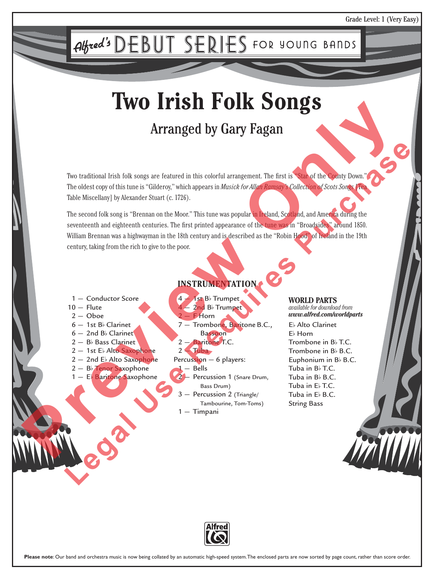# Alfred's DEBUT SERIES FOR YOUNG BANDS

# **Two Irish Folk Songs**

### Arranged by Gary Fagan

Two traditional Irish folk songs are featured in this colorful arrangement. The first is "Star of the County Down." The oldest copy of this tune is "Gilderoy," which appears in *Musick for Allan Ramsay's Collection of Scots Songs* [Tea Table Miscellany] by Alexander Stuart (c. 1726).

The second folk song is "Brennan on the Moor." This tune was popular in Ireland, Scotland, and America during the seventeenth and eighteenth centuries. The first printed appearance of the tune was in "Broadsides" around 1850. William Brennan was a highwayman in the 18th century and is described as the "Robin Hood" of Ireland in the 19th century, taking from the rich to give to the poor. **Example 19 Seconds and the stage of the state of the stage and contained and the stage and contained and the stage of the state of the state of the stage and contained and the state of the state of the state of the state** For training the same are featured in this colorid a transported. The first in the second of the second of the second of the second of the second of the second of the second of the second of the second of the second of th

- 1 Conductor Score
- $10 -$ Flute
- $2 -$  Oboe
- $6 1$ st B $\frac{1}{2}$  Clarinet
- $6 2$ nd B<sub>b</sub> Clarinet
- $-$  B<sub>b</sub> Bass Clarinet
- 2 1st Eb Alto Saxophone
- 2nd E<sub>b</sub> Alto Saxophone
- Bb Tenor Saxophone
- Eb Baritone Saxophone

### **INSTRUMENTATION**

1st B<sub>b</sub> Trumpet  $-$  2nd Bb Trumpet **E** Horn Trombone, Baritone B.C., Bassoon Baritone T.C.  $2 -$ Tuba

 Percussion — 6 players:  $-$  Bells - Percussion 1 (Snare Drum, Bass Drum)  $3$  – Percussion 2 (Triangle/

Tambourine, Tom-Toms)  $1 -$ Timpani

#### **WORLD PARTS** *available for download from*

*www.alfred.com/worldparts*

Eb Alto Clarinet Eb Horn Trombone in  $B$ <sup>b</sup> T.C. Trombone in B<sub>b</sub> B.C. Euphonium in  $B$ <sub>b</sub> B.C. Tuba in B<sub>b</sub> T.C. Tuba in  $B \flat B.C.$ Tuba in Eb T.C. Tuba in Eb B.C. String Bass

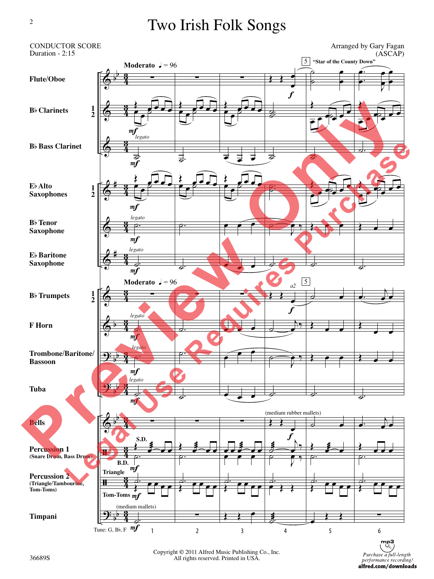## Two Irish Folk Songs



Copyright © 2011 Alfred Music Publishing Co., Inc. All rights reserved. Printed in USA.

36689S

Purchase a full-length<br>performance recording!<br>**alfred.com/downloads**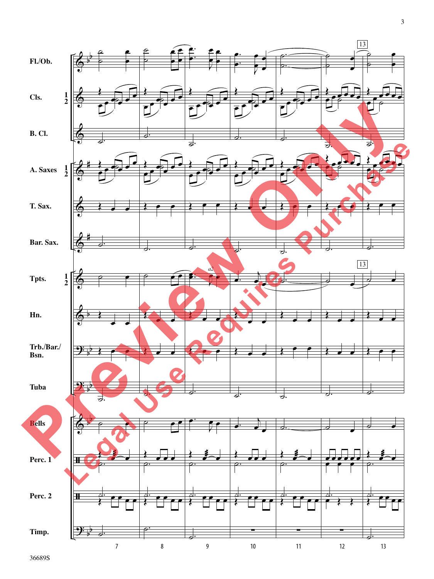

36689S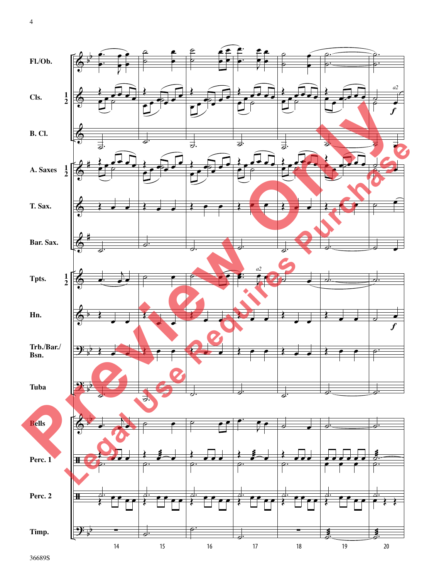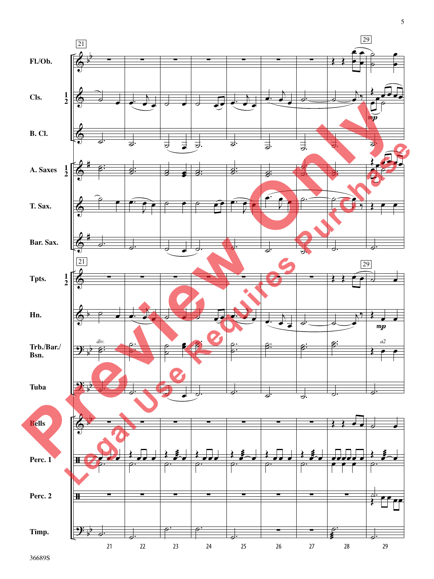

36689S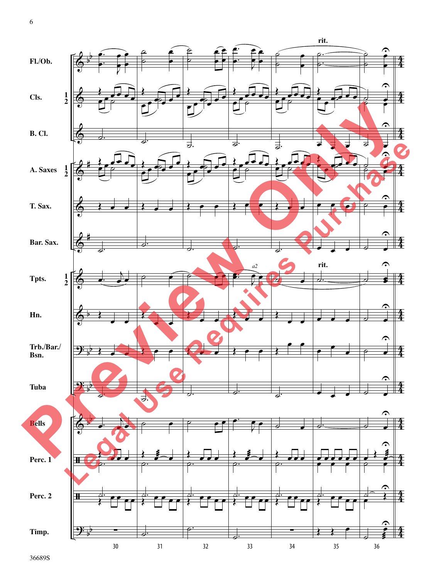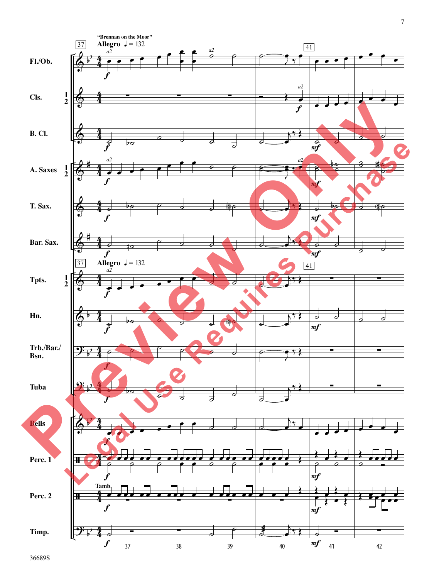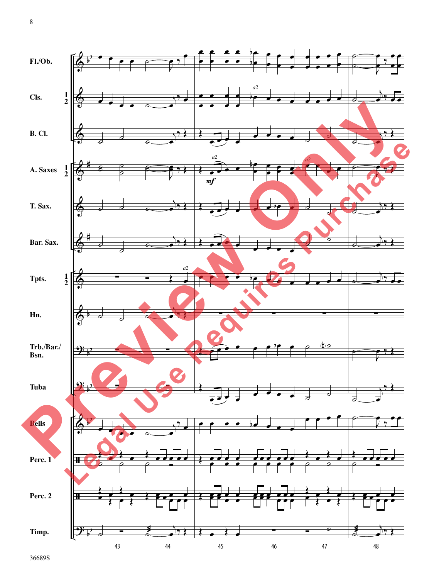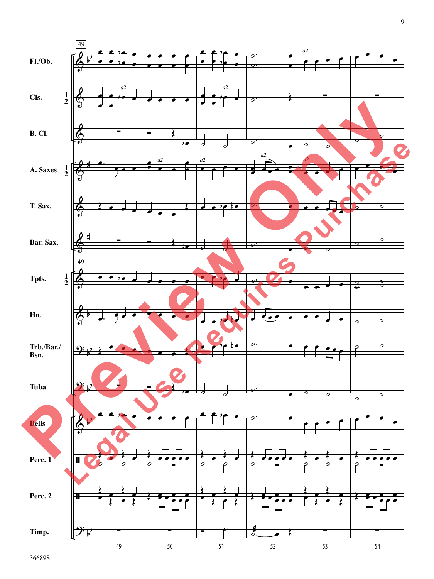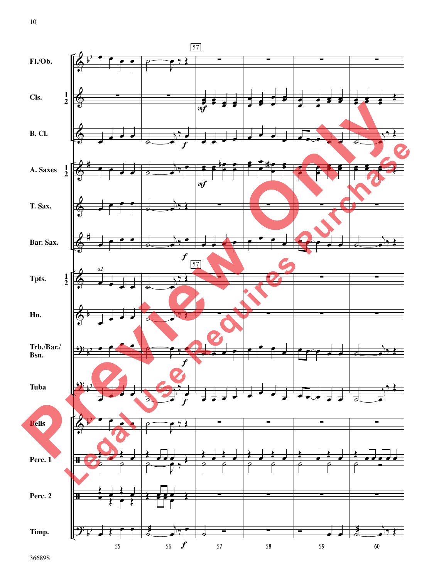

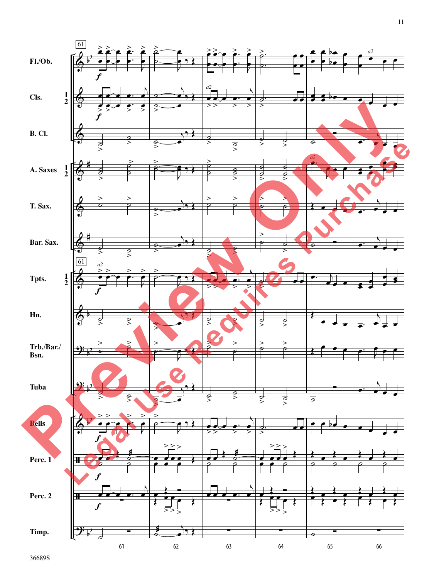